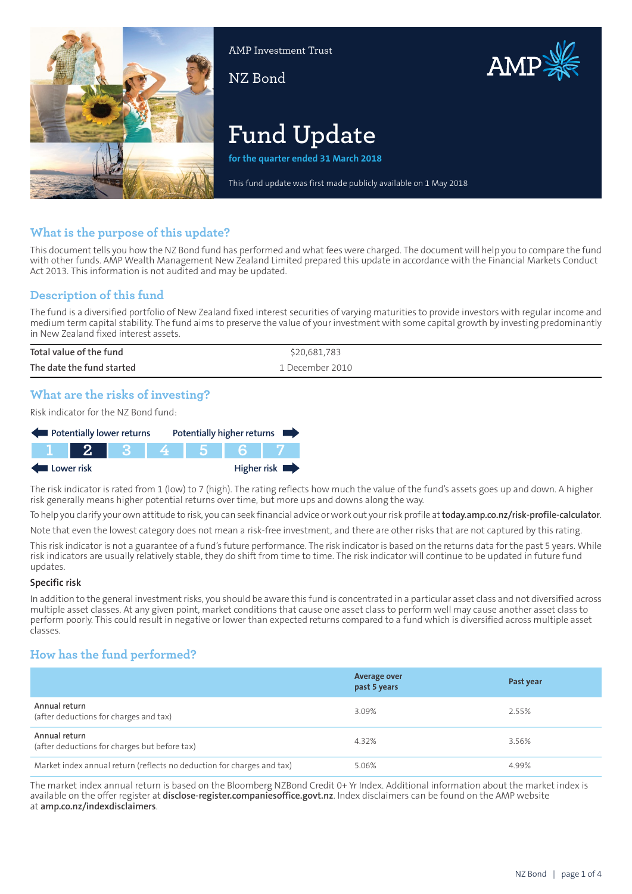

AMP Investment Trust

NZ Bond



# **Fund Update**

**for the quarter ended 31 March 2018**

This fund update was first made publicly available on 1 May 2018

# **What is the purpose of this update?**

This document tells you how the NZ Bond fund has performed and what fees were charged. The document will help you to compare the fund with other funds. AMP Wealth Management New Zealand Limited prepared this update in accordance with the Financial Markets Conduct Act 2013. This information is not audited and may be updated.

# **Description of this fund**

The fund is a diversified portfolio of New Zealand fixed interest securities of varying maturities to provide investors with regular income and medium term capital stability. The fund aims to preserve the value of your investment with some capital growth by investing predominantly in New Zealand fixed interest assets.

| Total value of the fund   | \$20,681,783     |
|---------------------------|------------------|
| The date the fund started | '. December 2010 |

# **What are the risks of investing?**

Risk indicator for the NZ Bond fund:



The risk indicator is rated from 1 (low) to 7 (high). The rating reflects how much the value of the fund's assets goes up and down. A higher risk generally means higher potential returns over time, but more ups and downs along the way.

To help you clarify your own attitude to risk, you can seek financial advice orwork out yourrisk profile at**[today.amp.co.nz/risk-profile-calculator](http://today.amp.co.nz/risk-profile-calculator)**.

Note that even the lowest category does not mean a risk-free investment, and there are other risks that are not captured by this rating.

This risk indicator is not a guarantee of a fund's future performance. The risk indicator is based on the returns data for the past 5 years. While risk indicators are usually relatively stable, they do shift from time to time. The risk indicator will continue to be updated in future fund updates.

#### **Specific risk**

In addition to the general investmentrisks, you should be aware this fund is concentrated in a particular asset class and not diversified across multiple asset classes. At any given point, market conditions that cause one asset class to perform well may cause another asset class to perform poorly. This could result in negative or lower than expected returns compared to a fund which is diversified across multiple asset classes.

# **How has the fund performed?**

|                                                                        | <b>Average over</b><br>past 5 years | Past year |
|------------------------------------------------------------------------|-------------------------------------|-----------|
| Annual return<br>(after deductions for charges and tax)                | 3.09%                               | 2.55%     |
| Annual return<br>(after deductions for charges but before tax)         | 4.32%                               | 3.56%     |
| Market index annual return (reflects no deduction for charges and tax) | 5.06%                               | 4.99%     |

The market index annual return is based on the Bloomberg NZBond Credit 0+ Yr Index. Additional information about the market index is available on the offer register at **[disclose-register.companiesoffice.govt.nz](https://disclose-register.companiesoffice.govt.nz/)**. Index disclaimers can be found on the AMP website at **[amp.co.nz/indexdisclaimers](http://amp.co.nz/indexdisclaimers)**.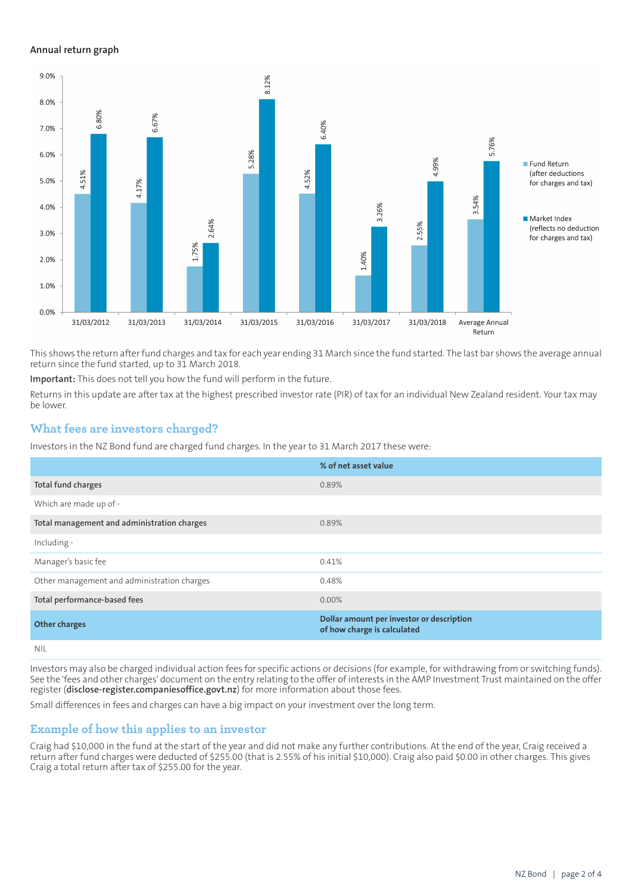#### **Annual return graph**



This shows the return afterfund charges and tax for each year ending 31 March since the fund started. The last bar shows the average annual return since the fund started, up to 31 March 2018.

**Important:** This does not tell you how the fund will perform in the future.

Returns in this update are after tax at the highest prescribed investor rate (PIR) of tax for an individual New Zealand resident. Your tax may be lower.

## **What fees are investors charged?**

Investors in the NZ Bond fund are charged fund charges. In the year to 31 March 2017 these were:

|                                             | % of net asset value                                                     |
|---------------------------------------------|--------------------------------------------------------------------------|
| Total fund charges                          | 0.89%                                                                    |
| Which are made up of -                      |                                                                          |
| Total management and administration charges | 0.89%                                                                    |
| Including -                                 |                                                                          |
| Manager's basic fee                         | 0.41%                                                                    |
| Other management and administration charges | 0.48%                                                                    |
| Total performance-based fees                | $0.00\%$                                                                 |
| <b>Other charges</b>                        | Dollar amount per investor or description<br>of how charge is calculated |
| NII                                         |                                                                          |

Investors may also be charged individual action fees for specific actions or decisions (for example, for withdrawing from or switching funds). See the 'fees and other charges' document on the entry relating to the offer of interests in the AMP Investment Trust maintained on the offer register (**[disclose-register.companiesoffice.govt.nz](https://disclose-register.companiesoffice.govt.nz/)**) for more information about those fees.

Small differences in fees and charges can have a big impact on your investment over the long term.

## **Example of how this applies to an investor**

Craig had \$10,000 in the fund at the start of the year and did not make any further contributions. At the end of the year, Craig received a return after fund charges were deducted of \$255.00 (that is 2.55% of his initial \$10,000). Craig also paid \$0.00 in other charges. This gives Craig a total return after tax of \$255.00 for the year.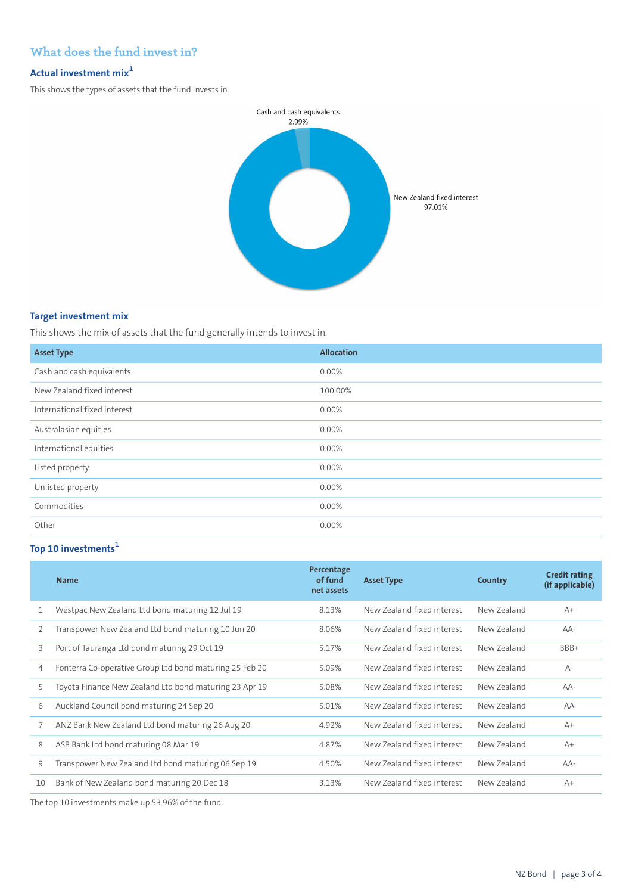# **What does the fund invest in?**

## **Actual investment mix<sup>1</sup>**

This shows the types of assets that the fund invests in.



## **Target investment mix**

This shows the mix of assets that the fund generally intends to invest in.

| <b>Asset Type</b>            | <b>Allocation</b> |
|------------------------------|-------------------|
| Cash and cash equivalents    | 0.00%             |
| New Zealand fixed interest   | 100.00%           |
| International fixed interest | 0.00%             |
| Australasian equities        | 0.00%             |
| International equities       | 0.00%             |
| Listed property              | 0.00%             |
| Unlisted property            | 0.00%             |
| Commodities                  | 0.00%             |
| Other                        | 0.00%             |

# **Top 10 investments<sup>1</sup>**

|    | <b>Name</b>                                             | Percentage<br>of fund<br>net assets | <b>Asset Type</b>          | Country     | <b>Credit rating</b><br>(if applicable) |
|----|---------------------------------------------------------|-------------------------------------|----------------------------|-------------|-----------------------------------------|
| 1  | Westpac New Zealand Ltd bond maturing 12 Jul 19         | 8.13%                               | New Zealand fixed interest | New Zealand | $A+$                                    |
| 2  | Transpower New Zealand Ltd bond maturing 10 Jun 20      | 8.06%                               | New Zealand fixed interest | New Zealand | $AA-$                                   |
| 3  | Port of Tauranga Ltd bond maturing 29 Oct 19            | 5.17%                               | New Zealand fixed interest | New Zealand | BBB+                                    |
| 4  | Fonterra Co-operative Group Ltd bond maturing 25 Feb 20 | 5.09%                               | New Zealand fixed interest | New Zealand | $A -$                                   |
| 5  | Toyota Finance New Zealand Ltd bond maturing 23 Apr 19  | 5.08%                               | New Zealand fixed interest | New Zealand | $AA-$                                   |
| 6  | Auckland Council bond maturing 24 Sep 20                | 5.01%                               | New Zealand fixed interest | New Zealand | AA                                      |
| 7  | ANZ Bank New Zealand Ltd bond maturing 26 Aug 20        | 4.92%                               | New Zealand fixed interest | New Zealand | $A+$                                    |
| 8  | ASB Bank Ltd bond maturing 08 Mar 19                    | 4.87%                               | New Zealand fixed interest | New Zealand | $A+$                                    |
| 9  | Transpower New Zealand Ltd bond maturing 06 Sep 19      | 4.50%                               | New Zealand fixed interest | New Zealand | $AA-$                                   |
| 10 | Bank of New Zealand bond maturing 20 Dec 18             | 3.13%                               | New Zealand fixed interest | New Zealand | $A+$                                    |

The top 10 investments make up 53.96% of the fund.